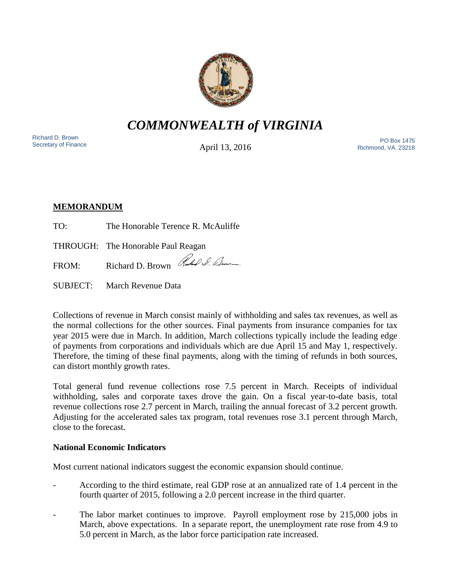

*COMMONWEALTH of VIRGINIA*

Richard D. Brown<br>Secretary of Finance

April 13, 2016

Secretary of Finance<br>Secretary of Finance **PO Box 1475**<br>A pril 12 2016 Richmond, VA. 23218

# **MEMORANDUM**

TO: The Honorable Terence R. McAuliffe

THROUGH: The Honorable Paul Reagan

FROM: Richard D. Brown Rubble D. Lum

SUBJECT: March Revenue Data

Collections of revenue in March consist mainly of withholding and sales tax revenues, as well as the normal collections for the other sources. Final payments from insurance companies for tax year 2015 were due in March. In addition, March collections typically include the leading edge of payments from corporations and individuals which are due April 15 and May 1, respectively. Therefore, the timing of these final payments, along with the timing of refunds in both sources, can distort monthly growth rates.

Total general fund revenue collections rose 7.5 percent in March. Receipts of individual withholding, sales and corporate taxes drove the gain. On a fiscal year-to-date basis, total revenue collections rose 2.7 percent in March, trailing the annual forecast of 3.2 percent growth. Adjusting for the accelerated sales tax program, total revenues rose 3.1 percent through March, close to the forecast.

## **National Economic Indicators**

Most current national indicators suggest the economic expansion should continue.

- According to the third estimate, real GDP rose at an annualized rate of 1.4 percent in the fourth quarter of 2015, following a 2.0 percent increase in the third quarter.
- The labor market continues to improve. Payroll employment rose by 215,000 jobs in March, above expectations. In a separate report, the unemployment rate rose from 4.9 to 5.0 percent in March, as the labor force participation rate increased.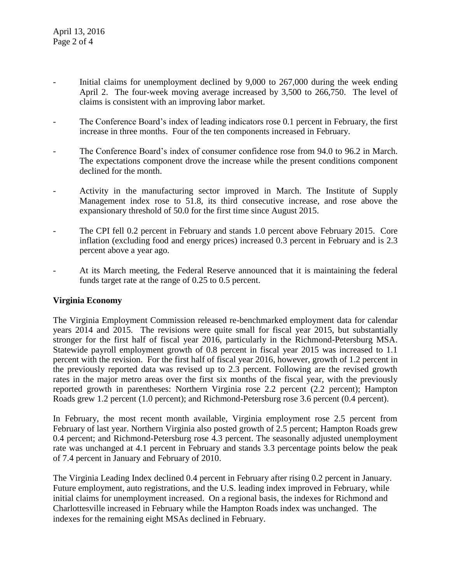- Initial claims for unemployment declined by 9,000 to 267,000 during the week ending April 2. The four-week moving average increased by 3,500 to 266,750. The level of claims is consistent with an improving labor market.
- The Conference Board's index of leading indicators rose 0.1 percent in February, the first increase in three months. Four of the ten components increased in February.
- The Conference Board's index of consumer confidence rose from 94.0 to 96.2 in March. The expectations component drove the increase while the present conditions component declined for the month.
- Activity in the manufacturing sector improved in March. The Institute of Supply Management index rose to 51.8, its third consecutive increase, and rose above the expansionary threshold of 50.0 for the first time since August 2015.
- The CPI fell 0.2 percent in February and stands 1.0 percent above February 2015. Core inflation (excluding food and energy prices) increased 0.3 percent in February and is 2.3 percent above a year ago.
- At its March meeting, the Federal Reserve announced that it is maintaining the federal funds target rate at the range of 0.25 to 0.5 percent.

### **Virginia Economy**

The Virginia Employment Commission released re-benchmarked employment data for calendar years 2014 and 2015. The revisions were quite small for fiscal year 2015, but substantially stronger for the first half of fiscal year 2016, particularly in the Richmond-Petersburg MSA. Statewide payroll employment growth of 0.8 percent in fiscal year 2015 was increased to 1.1 percent with the revision. For the first half of fiscal year 2016, however, growth of 1.2 percent in the previously reported data was revised up to 2.3 percent. Following are the revised growth rates in the major metro areas over the first six months of the fiscal year, with the previously reported growth in parentheses: Northern Virginia rose 2.2 percent (2.2 percent); Hampton Roads grew 1.2 percent (1.0 percent); and Richmond-Petersburg rose 3.6 percent (0.4 percent).

In February, the most recent month available, Virginia employment rose 2.5 percent from February of last year. Northern Virginia also posted growth of 2.5 percent; Hampton Roads grew 0.4 percent; and Richmond-Petersburg rose 4.3 percent. The seasonally adjusted unemployment rate was unchanged at 4.1 percent in February and stands 3.3 percentage points below the peak of 7.4 percent in January and February of 2010.

The Virginia Leading Index declined 0.4 percent in February after rising 0.2 percent in January. Future employment, auto registrations, and the U.S. leading index improved in February, while initial claims for unemployment increased. On a regional basis, the indexes for Richmond and Charlottesville increased in February while the Hampton Roads index was unchanged. The indexes for the remaining eight MSAs declined in February.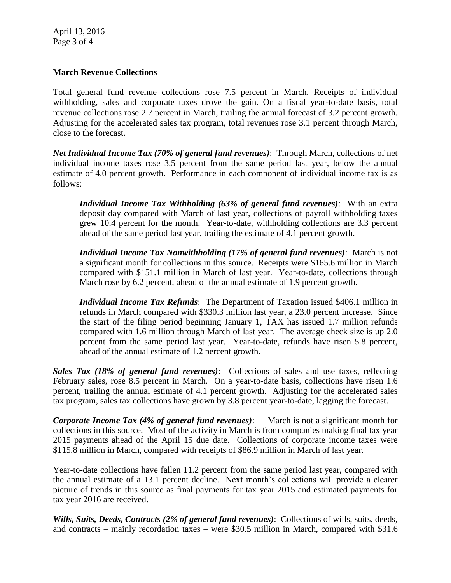April 13, 2016 Page 3 of 4

### **March Revenue Collections**

Total general fund revenue collections rose 7.5 percent in March. Receipts of individual withholding, sales and corporate taxes drove the gain. On a fiscal year-to-date basis, total revenue collections rose 2.7 percent in March, trailing the annual forecast of 3.2 percent growth. Adjusting for the accelerated sales tax program, total revenues rose 3.1 percent through March, close to the forecast.

*Net Individual Income Tax (70% of general fund revenues)*: Through March, collections of net individual income taxes rose 3.5 percent from the same period last year, below the annual estimate of 4.0 percent growth. Performance in each component of individual income tax is as follows:

*Individual Income Tax Withholding (63% of general fund revenues)*: With an extra deposit day compared with March of last year, collections of payroll withholding taxes grew 10.4 percent for the month. Year-to-date, withholding collections are 3.3 percent ahead of the same period last year, trailing the estimate of 4.1 percent growth.

*Individual Income Tax Nonwithholding (17% of general fund revenues)*: March is not a significant month for collections in this source. Receipts were \$165.6 million in March compared with \$151.1 million in March of last year. Year-to-date, collections through March rose by 6.2 percent, ahead of the annual estimate of 1.9 percent growth.

*Individual Income Tax Refunds*: The Department of Taxation issued \$406.1 million in refunds in March compared with \$330.3 million last year, a 23.0 percent increase. Since the start of the filing period beginning January 1, TAX has issued 1.7 million refunds compared with 1.6 million through March of last year. The average check size is up 2.0 percent from the same period last year. Year-to-date, refunds have risen 5.8 percent, ahead of the annual estimate of 1.2 percent growth.

*Sales Tax (18% of general fund revenues)*: Collections of sales and use taxes, reflecting February sales, rose 8.5 percent in March. On a year-to-date basis, collections have risen 1.6 percent, trailing the annual estimate of 4.1 percent growth. Adjusting for the accelerated sales tax program, sales tax collections have grown by 3.8 percent year-to-date, lagging the forecast.

*Corporate Income Tax (4% of general fund revenues)*: March is not a significant month for collections in this source. Most of the activity in March is from companies making final tax year 2015 payments ahead of the April 15 due date. Collections of corporate income taxes were \$115.8 million in March, compared with receipts of \$86.9 million in March of last year.

Year-to-date collections have fallen 11.2 percent from the same period last year, compared with the annual estimate of a 13.1 percent decline. Next month's collections will provide a clearer picture of trends in this source as final payments for tax year 2015 and estimated payments for tax year 2016 are received.

*Wills, Suits, Deeds, Contracts (2% of general fund revenues)*: Collections of wills, suits, deeds, and contracts – mainly recordation taxes – were \$30.5 million in March, compared with \$31.6